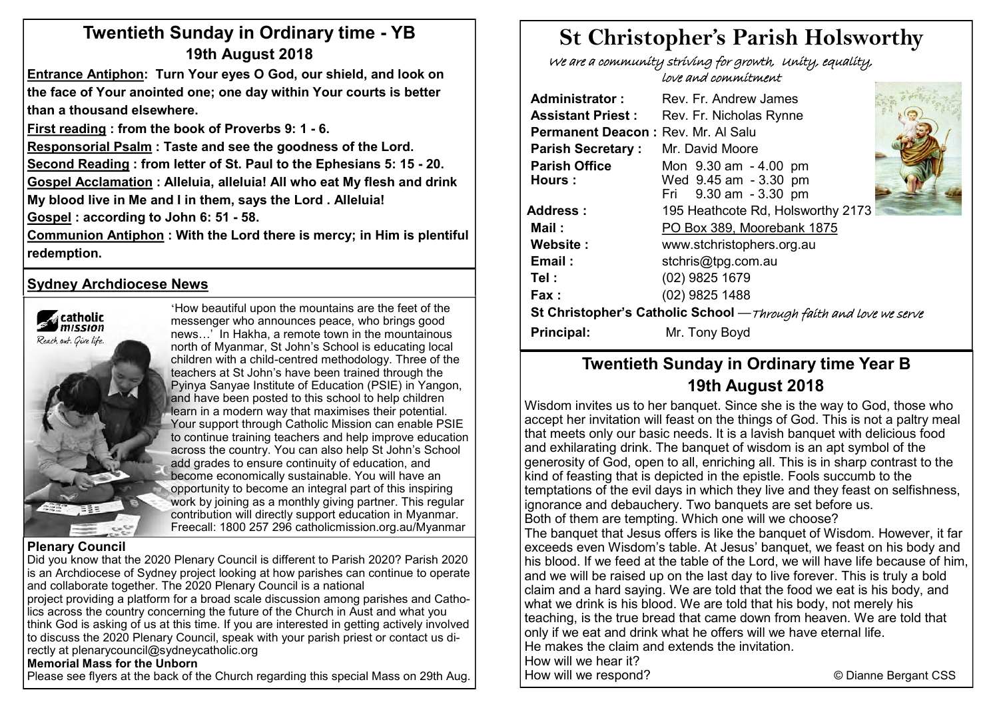# **Twentieth Sunday in Ordinary time - YB 19th August 2018**

**Entrance Antiphon: Turn Your eyes O God, our shield, and look on the face of Your anointed one; one day within Your courts is better than a thousand elsewhere.**

**First reading : from the book of Proverbs 9: 1 - 6.** 

**Responsorial Psalm : Taste and see the goodness of the Lord. Second Reading : from letter of St. Paul to the Ephesians 5: 15 - 20. Gospel Acclamation : Alleluia, alleluia! All who eat My flesh and drink My blood live in Me and I in them, says the Lord . Alleluia!**

**Gospel : according to John 6: 51 - 58.** 

**Communion Antiphon : With the Lord there is mercy; in Him is plentiful redemption.**

#### **Sydney Archdiocese News**



'How beautiful upon the mountains are the feet of the messenger who announces peace, who brings good news…' In Hakha, a remote town in the mountainous north of Myanmar, St John's School is educating local children with a child-centred methodology. Three of the teachers at St John's have been trained through the Pyinya Sanyae Institute of Education (PSIE) in Yangon, and have been posted to this school to help children learn in a modern way that maximises their potential. Your support through Catholic Mission can enable PSIE to continue training teachers and help improve education across the country. You can also help St John's School add grades to ensure continuity of education, and become economically sustainable. You will have an opportunity to become an integral part of this inspiring work by joining as a monthly giving partner. This regular contribution will directly support education in Myanmar. Freecall: 1800 257 296 catholicmission.org.au/Myanmar

#### **Plenary Council**

Did you know that the 2020 Plenary Council is different to Parish 2020? Parish 2020 is an Archdiocese of Sydney project looking at how parishes can continue to operate and collaborate together. The 2020 Plenary Council is a national

project providing a platform for a broad scale discussion among parishes and Catholics across the country concerning the future of the Church in Aust and what you think God is asking of us at this time. If you are interested in getting actively involved to discuss the 2020 Plenary Council, speak with your parish priest or contact us directly at plenarycouncil@sydneycatholic.org

#### **Memorial Mass for the Unborn**

Please see flyers at the back of the Church regarding this special Mass on 29th Aug.

# **St Christopher's Parish Holsworthy**

 We are a community striving for growth, Unity, equality, love and commitment

| Rev. Fr. Andrew James                                              |                                                                                      |  |  |  |  |  |  |
|--------------------------------------------------------------------|--------------------------------------------------------------------------------------|--|--|--|--|--|--|
| Rev. Fr. Nicholas Rynne                                            |                                                                                      |  |  |  |  |  |  |
|                                                                    |                                                                                      |  |  |  |  |  |  |
| Mr. David Moore                                                    |                                                                                      |  |  |  |  |  |  |
| Mon 9.30 am - 4.00 pm                                              |                                                                                      |  |  |  |  |  |  |
|                                                                    |                                                                                      |  |  |  |  |  |  |
|                                                                    |                                                                                      |  |  |  |  |  |  |
| 195 Heathcote Rd, Holsworthy 2173                                  |                                                                                      |  |  |  |  |  |  |
| PO Box 389, Moorebank 1875                                         |                                                                                      |  |  |  |  |  |  |
| www.stchristophers.org.au                                          |                                                                                      |  |  |  |  |  |  |
| stchris@tpg.com.au                                                 |                                                                                      |  |  |  |  |  |  |
| (02) 9825 1679                                                     |                                                                                      |  |  |  |  |  |  |
| (02) 9825 1488                                                     |                                                                                      |  |  |  |  |  |  |
| St Christopher's Catholic School - Through faith and love we serve |                                                                                      |  |  |  |  |  |  |
| Mr. Tony Boyd                                                      |                                                                                      |  |  |  |  |  |  |
|                                                                    | Permanent Deacon: Rev. Mr. Al Salu<br>Wed 9.45 am - 3.30 pm<br>Fri 9.30 am - 3.30 pm |  |  |  |  |  |  |

# **Twentieth Sunday in Ordinary time Year B 19th August 2018**

Wisdom invites us to her banquet. Since she is the way to God, those who accept her invitation will feast on the things of God. This is not a paltry meal that meets only our basic needs. It is a lavish banquet with delicious food and exhilarating drink. The banquet of wisdom is an apt symbol of the generosity of God, open to all, enriching all. This is in sharp contrast to the kind of feasting that is depicted in the epistle. Fools succumb to the temptations of the evil days in which they live and they feast on selfishness, ignorance and debauchery. Two banquets are set before us. Both of them are tempting. Which one will we choose? The banquet that Jesus offers is like the banquet of Wisdom. However, it far exceeds even Wisdom's table. At Jesus' banquet, we feast on his body and his blood. If we feed at the table of the Lord, we will have life because of him, and we will be raised up on the last day to live forever. This is truly a bold claim and a hard saying. We are told that the food we eat is his body, and what we drink is his blood. We are told that his body, not merely his teaching, is the true bread that came down from heaven. We are told that only if we eat and drink what he offers will we have eternal life. He makes the claim and extends the invitation. How will we hear it? How will we respond? © Dianne Bergant CSS